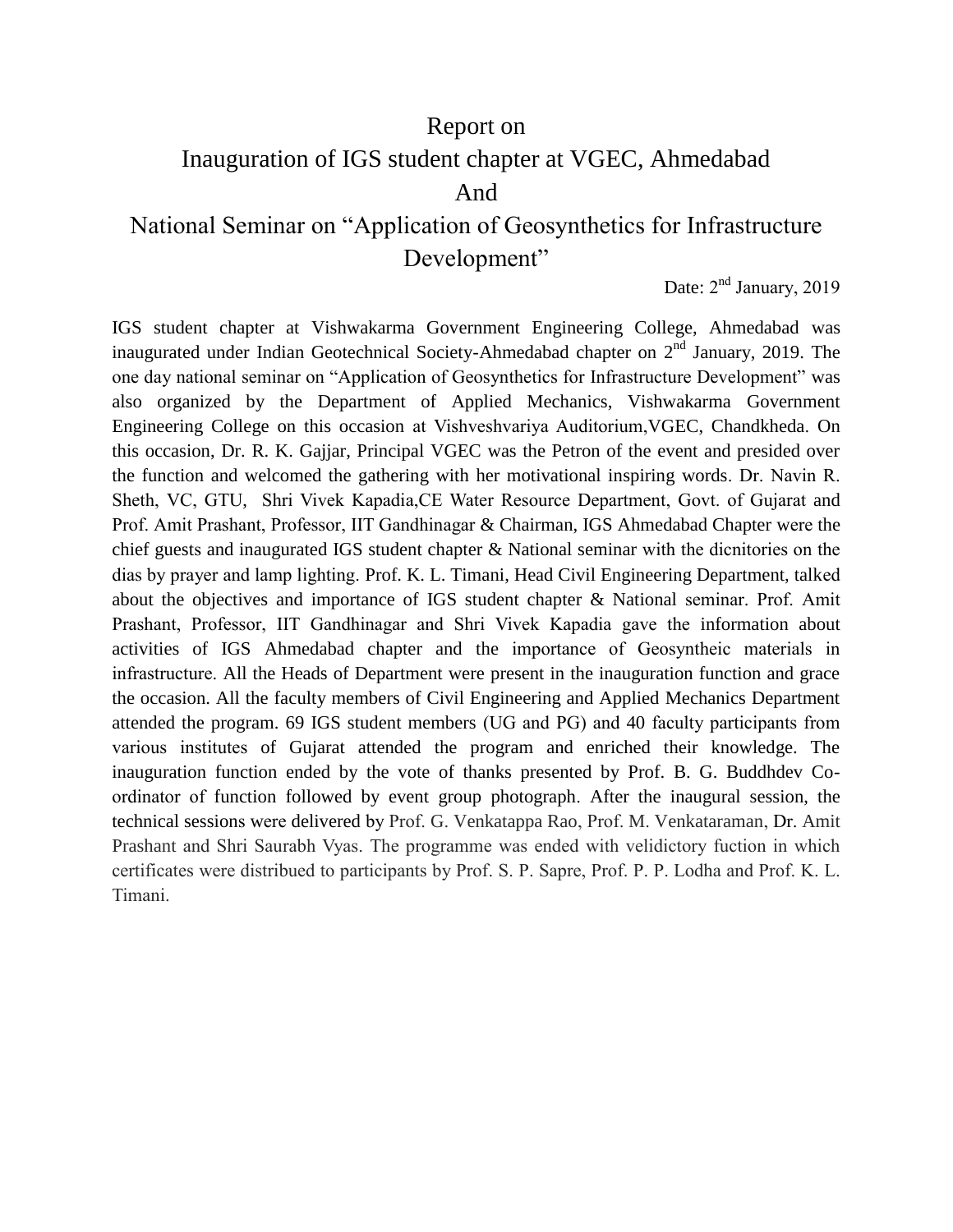## Report on

## Inauguration of IGS student chapter at VGEC, Ahmedabad And

## National Seminar on "Application of Geosynthetics for Infrastructure Development"

Date: 2<sup>nd</sup> January, 2019

IGS student chapter at Vishwakarma Government Engineering College, Ahmedabad was inaugurated under Indian Geotechnical Society-Ahmedabad chapter on 2nd January, 2019. The one day national seminar on "Application of Geosynthetics for Infrastructure Development" was also organized by the Department of Applied Mechanics, Vishwakarma Government Engineering College on this occasion at Vishveshvariya Auditorium,VGEC, Chandkheda. On this occasion, Dr. R. K. Gajjar, Principal VGEC was the Petron of the event and presided over the function and welcomed the gathering with her motivational inspiring words. Dr. Navin R. Sheth, VC, GTU, Shri Vivek Kapadia,CE Water Resource Department, Govt. of Gujarat and Prof. Amit Prashant, Professor, IIT Gandhinagar & Chairman, IGS Ahmedabad Chapter were the chief guests and inaugurated IGS student chapter & National seminar with the dicnitories on the dias by prayer and lamp lighting. Prof. K. L. Timani, Head Civil Engineering Department, talked about the objectives and importance of IGS student chapter & National seminar. Prof. Amit Prashant, Professor, IIT Gandhinagar and Shri Vivek Kapadia gave the information about activities of IGS Ahmedabad chapter and the importance of Geosyntheic materials in infrastructure. All the Heads of Department were present in the inauguration function and grace the occasion. All the faculty members of Civil Engineering and Applied Mechanics Department attended the program. 69 IGS student members (UG and PG) and 40 faculty participants from various institutes of Gujarat attended the program and enriched their knowledge. The inauguration function ended by the vote of thanks presented by Prof. B. G. Buddhdev Coordinator of function followed by event group photograph. After the inaugural session, the technical sessions were delivered by Prof. G. Venkatappa Rao, Prof. M. Venkataraman, Dr. Amit Prashant and Shri Saurabh Vyas. The programme was ended with velidictory fuction in which certificates were distribued to participants by Prof. S. P. Sapre, Prof. P. P. Lodha and Prof. K. L. Timani.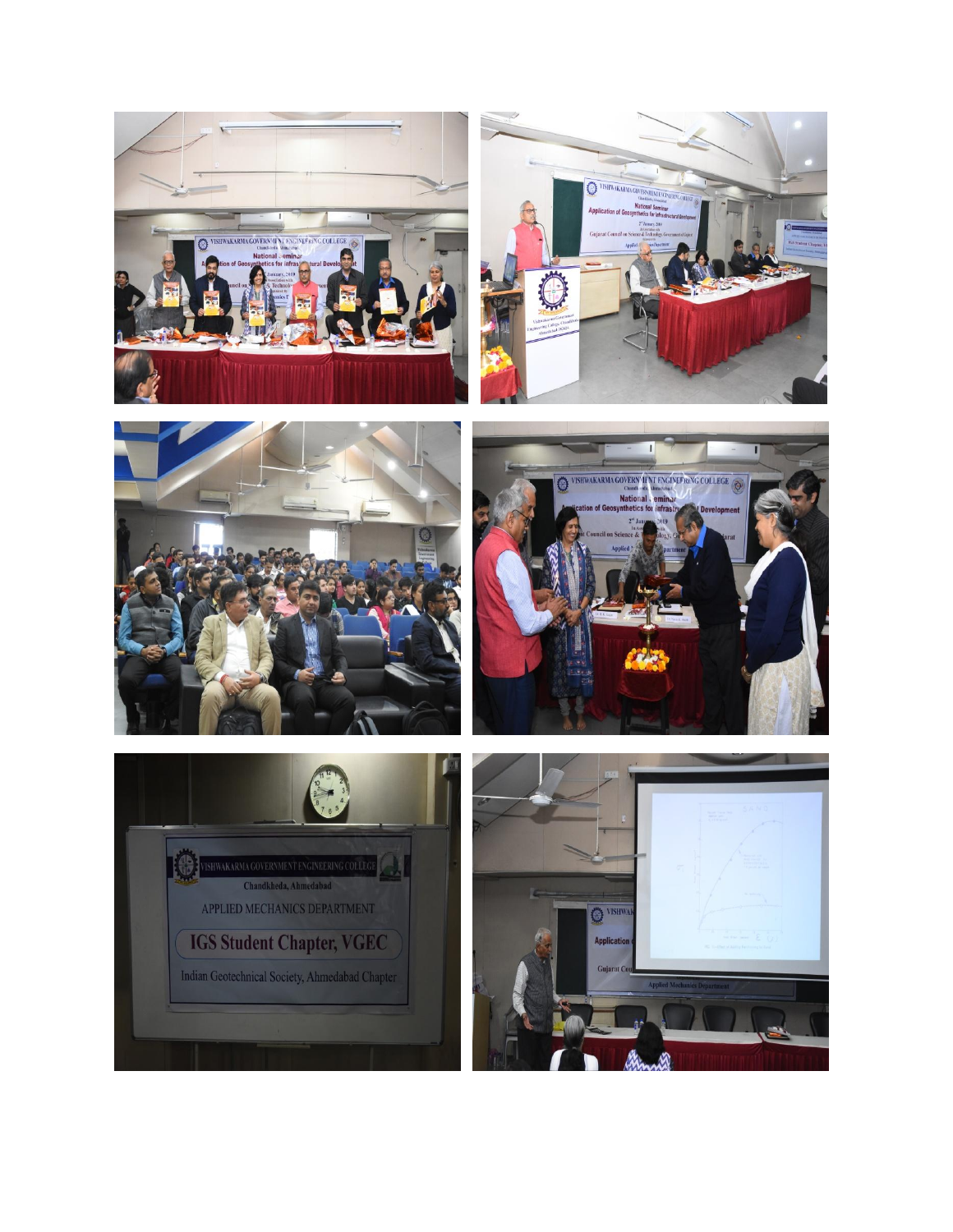